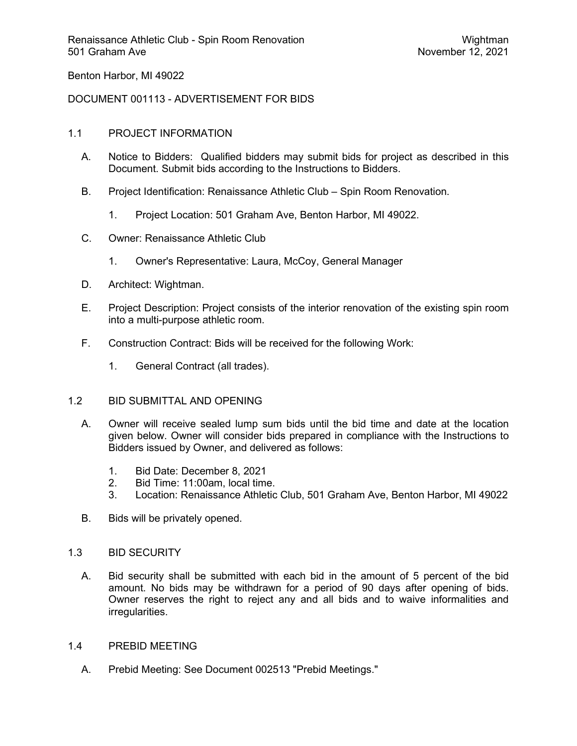Benton Harbor, MI 49022

## DOCUMENT 001113 - ADVERTISEMENT FOR BIDS

## 1.1 PROJECT INFORMATION

- A. Notice to Bidders: Qualified bidders may submit bids for project as described in this Document. Submit bids according to the Instructions to Bidders.
- B. Project Identification: Renaissance Athletic Club Spin Room Renovation.
	- 1. Project Location: 501 Graham Ave, Benton Harbor, MI 49022.
- C. Owner: Renaissance Athletic Club
	- 1. Owner's Representative: Laura, McCoy, General Manager
- D. Architect: Wightman.
- E. Project Description: Project consists of the interior renovation of the existing spin room into a multi-purpose athletic room.
- F. Construction Contract: Bids will be received for the following Work:
	- 1. General Contract (all trades).

## 1.2 BID SUBMITTAL AND OPENING

- A. Owner will receive sealed lump sum bids until the bid time and date at the location given below. Owner will consider bids prepared in compliance with the Instructions to Bidders issued by Owner, and delivered as follows:
	- 1. Bid Date: December 8, 2021
	- 2. Bid Time: 11:00am, local time.
	- 3. Location: Renaissance Athletic Club, 501 Graham Ave, Benton Harbor, MI 49022
- B. Bids will be privately opened.

#### 1.3 BID SECURITY

A. Bid security shall be submitted with each bid in the amount of 5 percent of the bid amount. No bids may be withdrawn for a period of 90 days after opening of bids. Owner reserves the right to reject any and all bids and to waive informalities and irregularities.

#### 1.4 PREBID MEETING

A. Prebid Meeting: See Document 002513 "Prebid Meetings."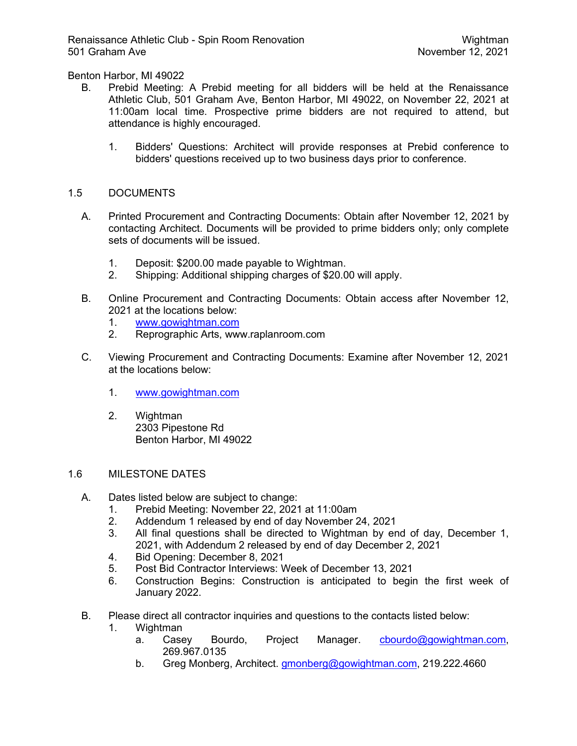Benton Harbor, MI 49022

- B. Prebid Meeting: A Prebid meeting for all bidders will be held at the Renaissance Athletic Club, 501 Graham Ave, Benton Harbor, MI 49022, on November 22, 2021 at 11:00am local time. Prospective prime bidders are not required to attend, but attendance is highly encouraged.
	- 1. Bidders' Questions: Architect will provide responses at Prebid conference to bidders' questions received up to two business days prior to conference.

# 1.5 DOCUMENTS

- A. Printed Procurement and Contracting Documents: Obtain after November 12, 2021 by contacting Architect. Documents will be provided to prime bidders only; only complete sets of documents will be issued.
	- 1. Deposit: \$200.00 made payable to Wightman.
	- 2. Shipping: Additional shipping charges of \$20.00 will apply.
- B. Online Procurement and Contracting Documents: Obtain access after November 12, 2021 at the locations below:
	- 1. www.gowightman.com
	- 2. Reprographic Arts, www.raplanroom.com
- C. Viewing Procurement and Contracting Documents: Examine after November 12, 2021 at the locations below:
	- 1. www.gowightman.com
	- 2. Wightman 2303 Pipestone Rd Benton Harbor, MI 49022

## 1.6 MILESTONE DATES

- A. Dates listed below are subject to change:
	- 1. Prebid Meeting: November 22, 2021 at 11:00am
	- 2. Addendum 1 released by end of day November 24, 2021
	- 3. All final questions shall be directed to Wightman by end of day, December 1, 2021, with Addendum 2 released by end of day December 2, 2021
	- 4. Bid Opening: December 8, 2021
	- 5. Post Bid Contractor Interviews: Week of December 13, 2021
	- 6. Construction Begins: Construction is anticipated to begin the first week of January 2022.
- B. Please direct all contractor inquiries and questions to the contacts listed below:
	- 1. Wightman
		- a. Casey Bourdo, Project Manager. cbourdo@gowightman.com, 269.967.0135
		- b. Greg Monberg, Architect. **gmonberg@gowightman.com**, 219.222.4660